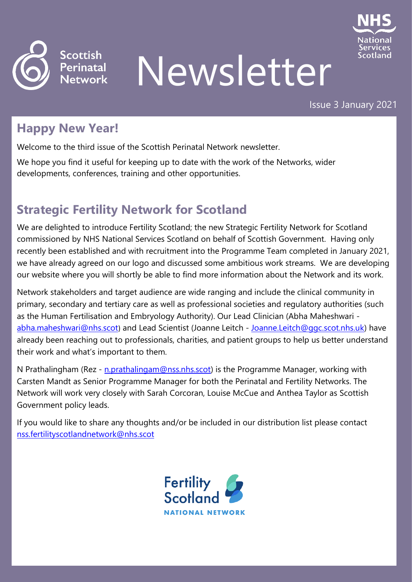



# Newsletter

Issue 3 January 2021

# **Happy New Year!**

Welcome to the third issue of the Scottish Perinatal Network newsletter.

We hope you find it useful for keeping up to date with the work of the Networks, wider developments, conferences, training and other opportunities.

# **Strategic Fertility Network for Scotland**

We are delighted to introduce Fertility Scotland; the new Strategic Fertility Network for Scotland commissioned by NHS National Services Scotland on behalf of Scottish Government. Having only recently been established and with recruitment into the Programme Team completed in January 2021, we have already agreed on our logo and discussed some ambitious work streams. We are developing our website where you will shortly be able to find more information about the Network and its work.

Network stakeholders and target audience are wide ranging and include the clinical community in primary, secondary and tertiary care as well as professional societies and regulatory authorities (such as the Human Fertilisation and Embryology Authority). Our Lead Clinician (Abha Maheshwari [abha.maheshwari@nhs.scot](mailto:abha.maheshwari@nhs.scot)) and Lead Scientist (Joanne Leitch - [Joanne.Leitch@ggc.scot.nhs.uk\)](mailto:Joanne.Leitch@ggc.scot.nhs.uk) have already been reaching out to professionals, charities, and patient groups to help us better understand their work and what's important to them.

N Prathalingham (Rez - [n.prathalingam@nss.nhs.scot\)](mailto:n.prathalingam@nss.nhs.scot) is the Programme Manager, working with Carsten Mandt as Senior Programme Manager for both the Perinatal and Fertility Networks. The Network will work very closely with Sarah Corcoran, Louise McCue and Anthea Taylor as Scottish Government policy leads.

If you would like to share any thoughts and/or be included in our distribution list please contact [nss.fertilityscotlandnetwork@nhs.scot](mailto:nss.fertilityscotlandnetwork@nhs.scot)

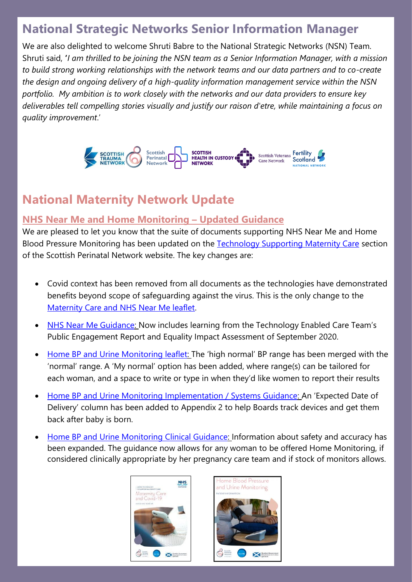# **National Strategic Networks Senior Information Manager**

We are also delighted to welcome Shruti Babre to the National Strategic Networks (NSN) Team. Shruti said, **'***I am thrilled to be joining the NSN team as a Senior Information Manager, with a mission to build strong working relationships with the network teams and our data partners and to co-create the design and ongoing delivery of a high-quality information management service within the NSN portfolio. My ambition is to work closely with the networks and our data providers to ensure key deliverables tell compelling stories visually and justify our raison d'etre, while maintaining a focus on quality improvement*.'



## **National Maternity Network Update**

#### **NHS Near Me and Home Monitoring – Updated Guidance**

We are pleased to let you know that the suite of documents supporting NHS Near Me and Home Blood Pressure Monitoring has been updated on the [Technology Supporting Maternity Care](https://www.perinatalnetwork.scot/maternity/maternitynearme/) section of the Scottish Perinatal Network website. The key changes are:

- Covid context has been removed from all documents as the technologies have demonstrated benefits beyond scope of safeguarding against the virus. This is the only change to the [Maternity Care and NHS Near Me leaflet.](https://www.perinatalnetwork.scot/wp-content/uploads/2021/01/2020-11-30-SPN-MaternityCareCovid19_A5_SR_%C6%92_NoncovidPrintreadyProof-1.pdf)
- [NHS Near Me Guidance:](https://www.perinatalnetwork.scot/wp-content/uploads/2021/01/2020-11-19-Near-Me-Maternity-Guidance-Clean-v2.1-1.pdf) Now includes learning from the Technology Enabled Care Team's Public Engagement Report and Equality Impact Assessment of September 2020.
- [Home BP and Urine Monitoring leaflet:](https://www.perinatalnetwork.scot/wp-content/uploads/2021/01/2020-11-30-SPN-Home-BloodUrine-monitoring_A5_SR_%C6%92_NoncovidPrintreadyProof.pdf) The 'high normal' BP range has been merged with the 'normal' range. A 'My normal' option has been added, where range(s) can be tailored for each woman, and a space to write or type in when they'd like women to report their results
- [Home BP and Urine Monitoring Implementation / Systems Guidance:](https://www.perinatalnetwork.scot/wp-content/uploads/2021/01/2020-11-19-HomeMonitoringStaffGuideSystems_Implementation-v2.1.pdf) An 'Expected Date of Delivery' column has been added to Appendix 2 to help Boards track devices and get them back after baby is born.
- [Home BP and Urine Monitoring Clinical Guidance:](https://www.perinatalnetwork.scot/wp-content/uploads/2021/01/2020-11-26-HomeMonitoringStaffGuidance-full-v2.2.pdf) Information about safety and accuracy has been expanded. The guidance now allows for any woman to be offered Home Monitoring, if considered clinically appropriate by her pregnancy care team and if stock of monitors allows.



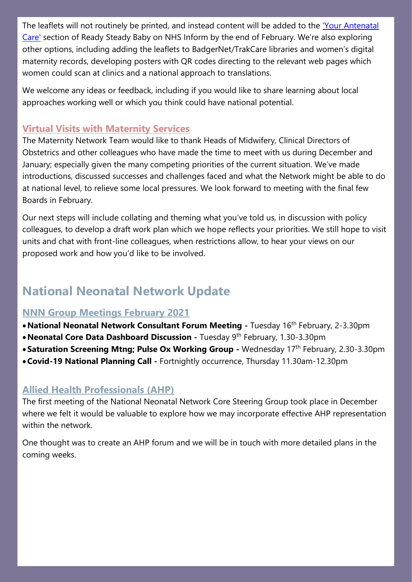The leaflets will not routinely be printed, and instead content will be added to the ['Your Antenatal](https://www.nhsinform.scot/ready-steady-baby/pregnancy/your-antenatal-care)  [Care'](https://www.nhsinform.scot/ready-steady-baby/pregnancy/your-antenatal-care) section of Ready Steady Baby on NHS Inform by the end of February. We're also exploring other options, including adding the leaflets to BadgerNet/TrakCare libraries and women's digital maternity records, developing posters with QR codes directing to the relevant web pages which women could scan at clinics and a national approach to translations.

We welcome any ideas or feedback, including if you would like to share learning about local approaches working well or which you think could have national potential.

## **Virtual Visits with Maternity Services**

The Maternity Network Team would like to thank Heads of Midwifery, Clinical Directors of Obstetrics and other colleagues who have made the time to meet with us during December and January; especially given the many competing priorities of the current situation. We've made introductions, discussed successes and challenges faced and what the Network might be able to do at national level, to relieve some local pressures. We look forward to meeting with the final few Boards in February.

Our next steps will include collating and theming what you've told us, in discussion with policy colleagues, to develop a draft work plan which we hope reflects your priorities. We still hope to visit units and chat with front-line colleagues, when restrictions allow, to hear your views on our proposed work and how you'd like to be involved.

# **National Neonatal Network Update**

## **NNN Group Meetings February 2021**

- **National Neonatal Network Consultant Forum Meeting Tuesday 16<sup>th</sup> February, 2-3.30pm**
- **Neonatal Core Data Dashboard Discussion -** Tuesday 9<sup>th</sup> February, 1.30-3.30pm
- **Saturation Screening Mtng; Pulse Ox Working Group -** Wednesday 17<sup>th</sup> February, 2.30-3.30pm
- **Covid-19 National Planning Call -** Fortnightly occurrence, Thursday 11.30am-12.30pm

## **Allied Health Professionals (AHP)**

The first meeting of the National Neonatal Network Core Steering Group took place in December where we felt it would be valuable to explore how we may incorporate effective AHP representation within the network.

One thought was to create an AHP forum and we will be in touch with more detailed plans in the coming weeks.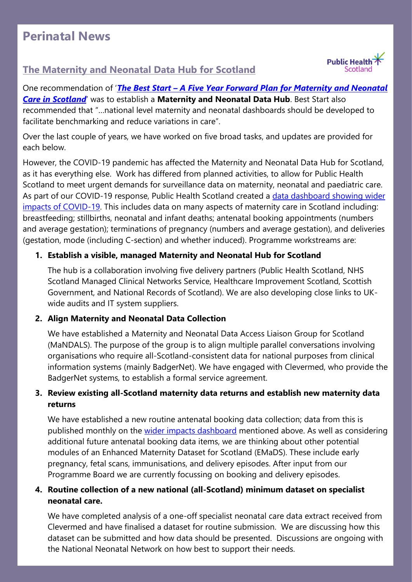## **Perinatal News**

## **The Maternity and Neonatal Data Hub for Scotland**



One recommendation of '*The Best Start – [A Five Year Forward Plan for Maternity and Neonatal](https://www.gov.scot/publications/best-start-five-year-forward-plan-maternity-neonatal-care-scotland/)  [Care in Scotland](https://www.gov.scot/publications/best-start-five-year-forward-plan-maternity-neonatal-care-scotland/)*' was to establish a **Maternity and Neonatal Data Hub**. Best Start also recommended that "…national level maternity and neonatal dashboards should be developed to facilitate benchmarking and reduce variations in care".

Over the last couple of years, we have worked on five broad tasks, and updates are provided for each below.

However, the COVID-19 pandemic has affected the Maternity and Neonatal Data Hub for Scotland, as it has everything else. Work has differed from planned activities, to allow for Public Health Scotland to meet urgent demands for surveillance data on maternity, neonatal and paediatric care. As part of our COVID-19 response, Public Health Scotland created a data dashboard showing wider [impacts of COVID-19.](https://scotland.shinyapps.io/phs-covid-wider-impact/) This includes data on many aspects of maternity care in Scotland including: breastfeeding; stillbirths, neonatal and infant deaths; antenatal booking appointments (numbers and average gestation); terminations of pregnancy (numbers and average gestation), and deliveries (gestation, mode (including C-section) and whether induced). Programme workstreams are:

#### **1. Establish a visible, managed Maternity and Neonatal Hub for Scotland**

The hub is a collaboration involving five delivery partners (Public Health Scotland, NHS Scotland Managed Clinical Networks Service, Healthcare Improvement Scotland, Scottish Government, and National Records of Scotland). We are also developing close links to UKwide audits and IT system suppliers.

#### **2. Align Maternity and Neonatal Data Collection**

We have established a Maternity and Neonatal Data Access Liaison Group for Scotland (MaNDALS). The purpose of the group is to align multiple parallel conversations involving organisations who require all-Scotland-consistent data for national purposes from clinical information systems (mainly BadgerNet). We have engaged with Clevermed, who provide the BadgerNet systems, to establish a formal service agreement.

#### **3. Review existing all-Scotland maternity data returns and establish new maternity data returns**

We have established a new routine antenatal booking data collection; data from this is published monthly on the [wider impacts dashboard](https://scotland.shinyapps.io/phs-covid-wider-impact/) mentioned above. As well as considering additional future antenatal booking data items, we are thinking about other potential modules of an Enhanced Maternity Dataset for Scotland (EMaDS). These include early pregnancy, fetal scans, immunisations, and delivery episodes. After input from our Programme Board we are currently focussing on booking and delivery episodes.

#### **4. Routine collection of a new national (all-Scotland) minimum dataset on specialist neonatal care.**

We have completed analysis of a one-off specialist neonatal care data extract received from Clevermed and have finalised a dataset for routine submission. We are discussing how this dataset can be submitted and how data should be presented. Discussions are ongoing with the National Neonatal Network on how best to support their needs.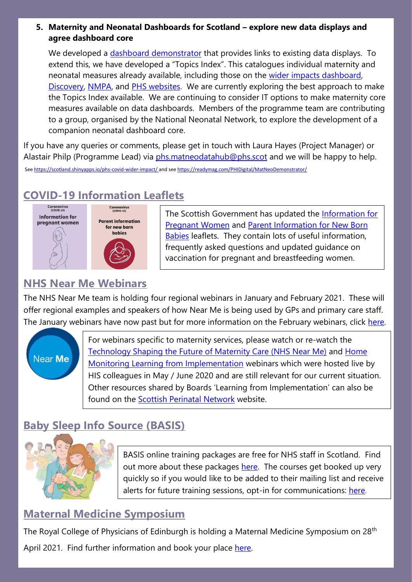#### **5. Maternity and Neonatal Dashboards for Scotland – explore new data displays and agree dashboard core**

We developed a [dashboard demonstrator](https://readymag.com/PHIDigital/MatNeoDemonstrator/) that provides links to existing data displays. To extend this, we have developed a "Topics Index". This catalogues individual maternity and neonatal measures already available, including those on the [wider impacts dashboard,](https://scotland.shinyapps.io/phs-covid-wider-impact/) [Discovery,](https://www.nssdiscovery.scot.nhs.uk/) [NMPA,](https://www.rcog.org.uk/en/guidelines-research-services/audit-quality-improvement/nmpa/) and [PHS websites.](https://beta.isdscotland.org/topics/maternity-and-births/) We are currently exploring the best approach to make the Topics Index available. We are continuing to consider IT options to make maternity core measures available on data dashboards. Members of the programme team are contributing to a group, organised by the National Neonatal Network, to explore the development of a companion neonatal dashboard core.

If you have any queries or comments, please get in touch with Laura Hayes (Project Manager) or Alastair Philp (Programme Lead) via [phs.matneodatahub@phs.scot](mailto:phs.matneodatahub@phs.scot) and we will be happy to help. Se[e https://scotland.shinyapps.io/phs-covid-wider-impact/](https://scotland.shinyapps.io/phs-covid-wider-impact/) and se[e https://readymag.com/PHIDigital/MatNeoDemonstrator/](https://readymag.com/PHIDigital/MatNeoDemonstrator/)

## **COVID-19 Information Leaflets**



The Scottish Government has updated the [Information for](https://www.perinatalnetwork.scot/wp-content/uploads/2021/01/542654_SCT0620748574-003_COVID-information-for-pregnant-women_p6.pdf)  [Pregnant Women](https://www.perinatalnetwork.scot/wp-content/uploads/2021/01/542654_SCT0620748574-003_COVID-information-for-pregnant-women_p6.pdf) and [Parent Information for New Born](https://www.perinatalnetwork.scot/wp-content/uploads/2021/01/553602_SCT0620748774-002_COVID-Parent-information-for-newborns-Updated-Artwork_p5.pdf)  **[Babies](https://www.perinatalnetwork.scot/wp-content/uploads/2021/01/553602_SCT0620748774-002_COVID-Parent-information-for-newborns-Updated-Artwork_p5.pdf)** leaflets. They contain lots of useful information, frequently asked questions and updated guidance on vaccination for pregnant and breastfeeding women.

## **NHS Near Me Webinars**

The NHS Near Me team is holding four regional webinars in January and February 2021. These will offer regional examples and speakers of how Near Me is being used by GPs and primary care staff. The January webinars have now past but for more information on the February webinars, click [here.](https://tec.scot/)



For webinars specific to maternity services, please watch or re-watch the [Technology Shaping the Future of Maternity Care \(NHS Near Me\)](https://www.youtube.com/watch?time_continue=2&v=Rwc6xLmprBw&feature=emb_logo) and [Home](https://www.youtube.com/watch?time_continue=60&v=uwS14pOGrP0&feature=emb_logo)  [Monitoring Learning from Implementation](https://www.youtube.com/watch?time_continue=60&v=uwS14pOGrP0&feature=emb_logo) webinars which were hosted live by HIS colleagues in May / June 2020 and are still relevant for our current situation. Other resources shared by Boards 'Learning from Implementation' can also be found on the [Scottish Perinatal Network](https://www.perinatalnetwork.scot/maternity/maternitynearme/) website.

# **Baby Sleep Info Source (BASIS)**



BASIS online training packages are free for NHS staff in Scotland. Find out more about these packages [here.](https://www.basisonline.org.uk/hcp-infant-sleep-training-workshops/) The courses get booked up very quickly so if you would like to be added to their mailing list and receive alerts for future training sessions, opt-in for communications: [here.](https://www.dur.ac.uk/disc/optin/)

## **Maternal Medicine Symposium**

The Royal College of Physicians of Edinburgh is holding a Maternal Medicine Symposium on 28<sup>th</sup> April 2021. Find further information and book your place [here.](http://events.rcpe.ac.uk/maternal-medicine-1)